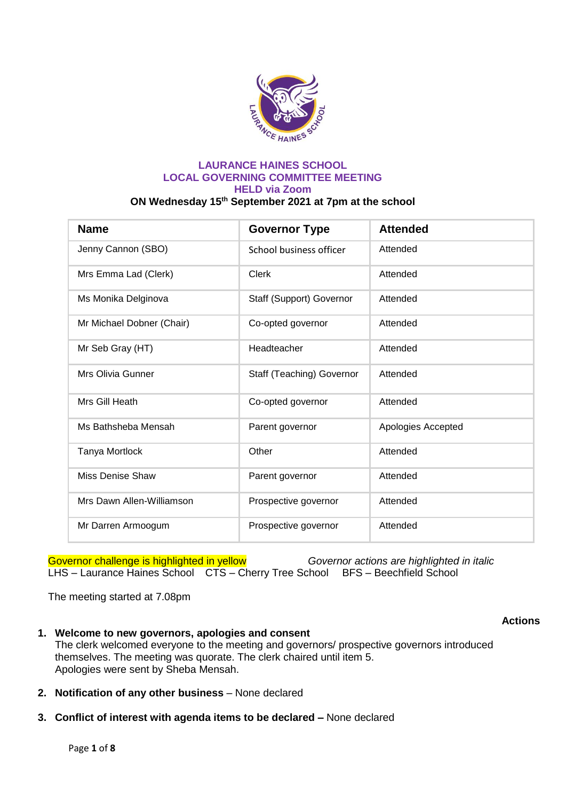

#### **LAURANCE HAINES SCHOOL LOCAL GOVERNING COMMITTEE MEETING HELD via Zoom ON Wednesday 15th September 2021 at 7pm at the school**

| <b>Name</b>               | <b>Governor Type</b>      | <b>Attended</b>    |
|---------------------------|---------------------------|--------------------|
| Jenny Cannon (SBO)        | School business officer   | Attended           |
| Mrs Emma Lad (Clerk)      | Clerk                     | Attended           |
| Ms Monika Delginova       | Staff (Support) Governor  | Attended           |
| Mr Michael Dobner (Chair) | Co-opted governor         | Attended           |
| Mr Seb Gray (HT)          | Headteacher               | Attended           |
| Mrs Olivia Gunner         | Staff (Teaching) Governor | Attended           |
| Mrs Gill Heath            | Co-opted governor         | Attended           |
| Ms Bathsheba Mensah       | Parent governor           | Apologies Accepted |
| Tanya Mortlock            | Other                     | Attended           |
| Miss Denise Shaw          | Parent governor           | Attended           |
| Mrs Dawn Allen-Williamson | Prospective governor      | Attended           |
| Mr Darren Armoogum        | Prospective governor      | Attended           |

Governor challenge is highlighted in yellow *Governor actions are highlighted in italic* LHS – Laurance Haines School CTS – Cherry Tree School BFS – Beechfield School

The meeting started at 7.08pm

- **1. Welcome to new governors, apologies and consent** The clerk welcomed everyone to the meeting and governors/ prospective governors introduced themselves. The meeting was quorate. The clerk chaired until item 5. Apologies were sent by Sheba Mensah.
- **2. Notification of any other business**  None declared
- **3. Conflict of interest with agenda items to be declared –** None declared

**Actions**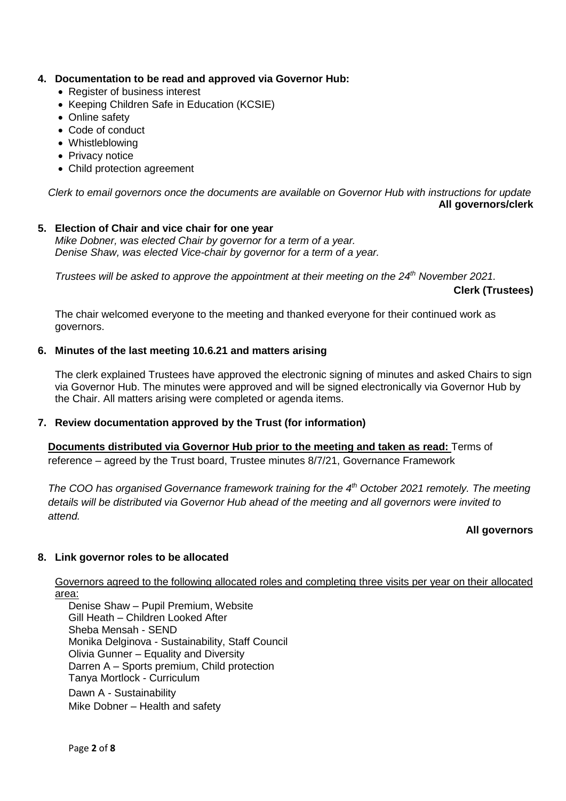## **4. Documentation to be read and approved via Governor Hub:**

- Register of business interest
- Keeping Children Safe in Education (KCSIE)
- Online safety
- Code of conduct
- Whistleblowing
- Privacy notice
- Child protection agreement

*Clerk to email governors once the documents are available on Governor Hub with instructions for update* **All governors/clerk**

### **5. Election of Chair and vice chair for one year**

*Mike Dobner, was elected Chair by governor for a term of a year. Denise Shaw, was elected Vice-chair by governor for a term of a year.* 

*Trustees will be asked to approve the appointment at their meeting on the 24th November 2021.* 

### **Clerk (Trustees)**

The chair welcomed everyone to the meeting and thanked everyone for their continued work as governors.

### **6. Minutes of the last meeting 10.6.21 and matters arising**

The clerk explained Trustees have approved the electronic signing of minutes and asked Chairs to sign via Governor Hub. The minutes were approved and will be signed electronically via Governor Hub by the Chair. All matters arising were completed or agenda items.

### **7. Review documentation approved by the Trust (for information)**

**Documents distributed via Governor Hub prior to the meeting and taken as read:** Terms of reference – agreed by the Trust board, Trustee minutes 8/7/21, Governance Framework

*The COO has organised Governance framework training for the 4th October 2021 remotely. The meeting details will be distributed via Governor Hub ahead of the meeting and all governors were invited to attend.*

### **All governors**

### **8. Link governor roles to be allocated**

Governors agreed to the following allocated roles and completing three visits per year on their allocated area:

Denise Shaw – Pupil Premium, Website Gill Heath – Children Looked After Sheba Mensah - SEND Monika Delginova - Sustainability, Staff Council Olivia Gunner – Equality and Diversity Darren A – Sports premium, Child protection Tanya Mortlock - Curriculum Dawn A - Sustainability Mike Dobner – Health and safety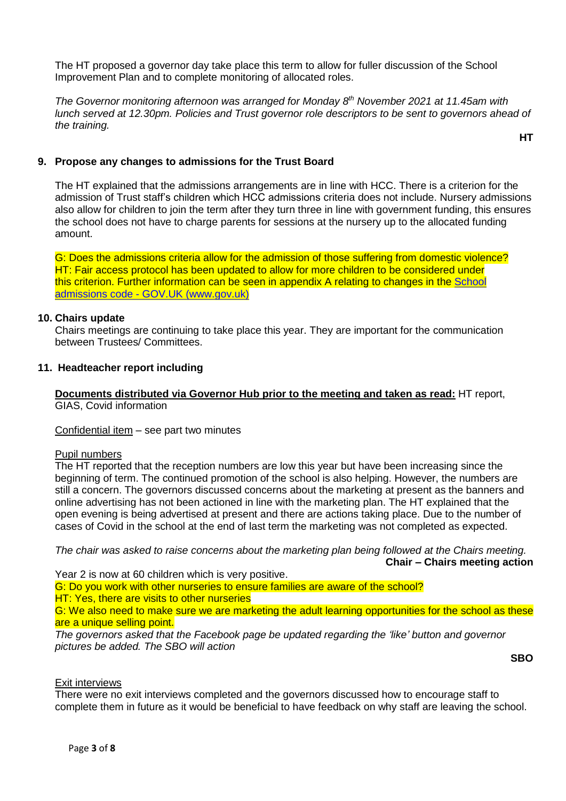The HT proposed a governor day take place this term to allow for fuller discussion of the School Improvement Plan and to complete monitoring of allocated roles.

*The Governor monitoring afternoon was arranged for Monday 8th November 2021 at 11.45am with lunch served at 12.30pm. Policies and Trust governor role descriptors to be sent to governors ahead of the training.* 

**9. Propose any changes to admissions for the Trust Board**

The HT explained that the admissions arrangements are in line with HCC. There is a criterion for the admission of Trust staff's children which HCC admissions criteria does not include. Nursery admissions also allow for children to join the term after they turn three in line with government funding, this ensures the school does not have to charge parents for sessions at the nursery up to the allocated funding amount.

G: Does the admissions criteria allow for the admission of those suffering from domestic violence? HT: Fair access protocol has been updated to allow for more children to be considered under this criterion. Further information can be seen in appendix A relating to changes in the [School](https://www.gov.uk/government/publications/school-admissions-code--2)  admissions code - [GOV.UK \(www.gov.uk\)](https://www.gov.uk/government/publications/school-admissions-code--2)

#### **10. Chairs update**

Chairs meetings are continuing to take place this year. They are important for the communication between Trustees/ Committees.

#### **11. Headteacher report including**

**Documents distributed via Governor Hub prior to the meeting and taken as read:** HT report, GIAS, Covid information

#### Confidential item – see part two minutes

#### Pupil numbers

The HT reported that the reception numbers are low this year but have been increasing since the beginning of term. The continued promotion of the school is also helping. However, the numbers are still a concern. The governors discussed concerns about the marketing at present as the banners and online advertising has not been actioned in line with the marketing plan. The HT explained that the open evening is being advertised at present and there are actions taking place. Due to the number of cases of Covid in the school at the end of last term the marketing was not completed as expected.

*The chair was asked to raise concerns about the marketing plan being followed at the Chairs meeting.* **Chair – Chairs meeting action**

Year 2 is now at 60 children which is very positive.

G: Do you work with other nurseries to ensure families are aware of the school? **HT: Yes, there are visits to other nurseries** 

G: We also need to make sure we are marketing the adult learning opportunities for the school as these are a unique selling point.

*The governors asked that the Facebook page be updated regarding the 'like' button and governor pictures be added. The SBO will action*

**SBO**

**HT**

#### Exit interviews

There were no exit interviews completed and the governors discussed how to encourage staff to complete them in future as it would be beneficial to have feedback on why staff are leaving the school.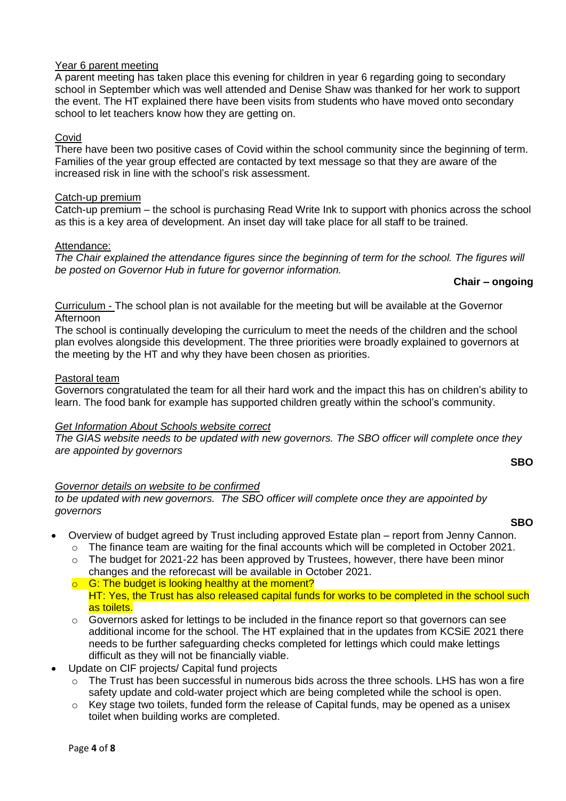# Year 6 parent meeting

A parent meeting has taken place this evening for children in year 6 regarding going to secondary school in September which was well attended and Denise Shaw was thanked for her work to support the event. The HT explained there have been visits from students who have moved onto secondary school to let teachers know how they are getting on.

### Covid

There have been two positive cases of Covid within the school community since the beginning of term. Families of the year group effected are contacted by text message so that they are aware of the increased risk in line with the school's risk assessment.

### Catch-up premium

Catch-up premium – the school is purchasing Read Write Ink to support with phonics across the school as this is a key area of development. An inset day will take place for all staff to be trained.

#### Attendance:

*The Chair explained the attendance figures since the beginning of term for the school. The figures will be posted on Governor Hub in future for governor information.* 

**Chair – ongoing**

Curriculum - The school plan is not available for the meeting but will be available at the Governor Afternoon

The school is continually developing the curriculum to meet the needs of the children and the school plan evolves alongside this development. The three priorities were broadly explained to governors at the meeting by the HT and why they have been chosen as priorities.

#### Pastoral team

Governors congratulated the team for all their hard work and the impact this has on children's ability to learn. The food bank for example has supported children greatly within the school's community.

#### *Get Information About Schools website correct*

*The GIAS website needs to be updated with new governors. The SBO officer will complete once they are appointed by governors*

#### **SBO**

### *Governor details on website to be confirmed*

*to be updated with new governors. The SBO officer will complete once they are appointed by governors*

#### **SBO**

- Overview of budget agreed by Trust including approved Estate plan report from Jenny Cannon.
	- $\circ$  The finance team are waiting for the final accounts which will be completed in October 2021. o The budget for 2021-22 has been approved by Trustees, however, there have been minor
	- changes and the reforecast will be available in October 2021.  $\circ$  G: The budget is looking healthy at the moment?
	- HT: Yes, the Trust has also released capital funds for works to be completed in the school such as toilets.
	- $\circ$  Governors asked for lettings to be included in the finance report so that governors can see additional income for the school. The HT explained that in the updates from KCSiE 2021 there needs to be further safeguarding checks completed for lettings which could make lettings difficult as they will not be financially viable.
- Update on CIF projects/ Capital fund projects
	- $\circ$  The Trust has been successful in numerous bids across the three schools. LHS has won a fire safety update and cold-water project which are being completed while the school is open.
	- o Key stage two toilets, funded form the release of Capital funds, may be opened as a unisex toilet when building works are completed.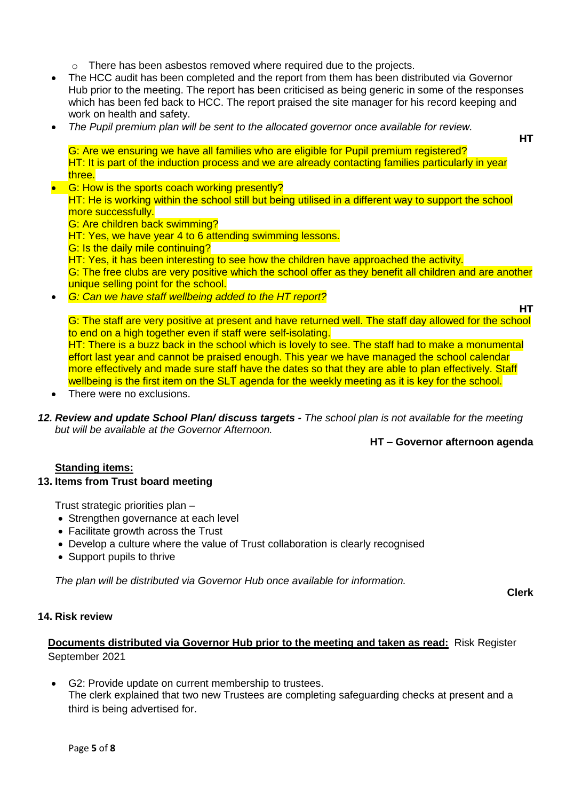o There has been asbestos removed where required due to the projects.

- The HCC audit has been completed and the report from them has been distributed via Governor Hub prior to the meeting. The report has been criticised as being generic in some of the responses which has been fed back to HCC. The report praised the site manager for his record keeping and work on health and safety.
- *The Pupil premium plan will be sent to the allocated governor once available for review.*

**HT**

G: Are we ensuring we have all families who are eligible for Pupil premium registered? HT: It is part of the induction process and we are already contacting families particularly in year three.

- G: How is the sports coach working presently? HT: He is working within the school still but being utilised in a different way to support the school more successfully. G: Are children back swimming? HT: Yes, we have year 4 to 6 attending swimming lessons.
	- G: Is the daily mile continuing?

HT: Yes, it has been interesting to see how the children have approached the activity.

G: The free clubs are very positive which the school offer as they benefit all children and are another unique selling point for the school.

*G: Can we have staff wellbeing added to the HT report?* 

**HT**

**Clerk**

G: The staff are very positive at present and have returned well. The staff day allowed for the school to end on a high together even if staff were self-isolating. HT: There is a buzz back in the school which is lovely to see. The staff had to make a monumental

effort last year and cannot be praised enough. This year we have managed the school calendar more effectively and made sure staff have the dates so that they are able to plan effectively. Staff wellbeing is the first item on the SLT agenda for the weekly meeting as it is key for the school.

- There were no exclusions.
- *12. Review and update School Plan/ discuss targets - The school plan is not available for the meeting but will be available at the Governor Afternoon.*

## **HT – Governor afternoon agenda**

## **Standing items:**

### **13. Items from Trust board meeting**

Trust strategic priorities plan –

- Strengthen governance at each level
- Facilitate growth across the Trust
- Develop a culture where the value of Trust collaboration is clearly recognised
- Support pupils to thrive

*The plan will be distributed via Governor Hub once available for information.* 

### **14. Risk review**

## **Documents distributed via Governor Hub prior to the meeting and taken as read:** Risk Register September 2021

 G2: Provide update on current membership to trustees. The clerk explained that two new Trustees are completing safeguarding checks at present and a third is being advertised for.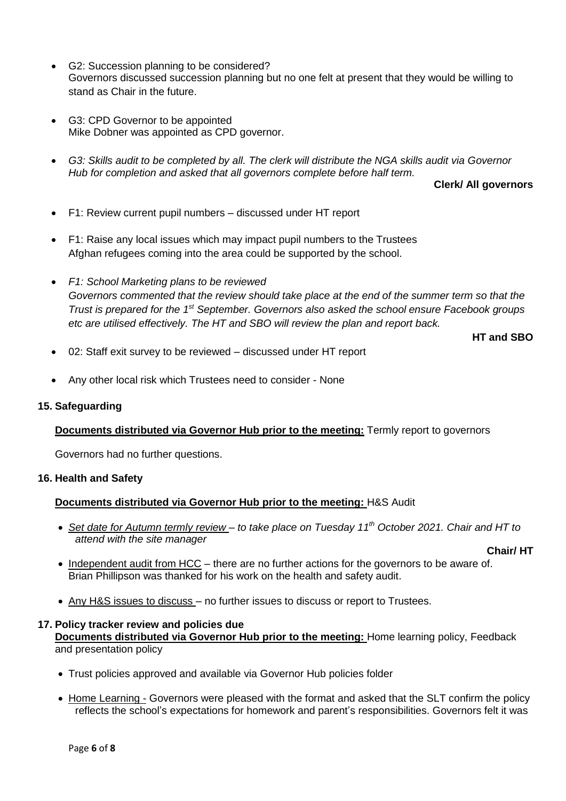- G2: Succession planning to be considered? Governors discussed succession planning but no one felt at present that they would be willing to stand as Chair in the future.
- G3: CPD Governor to be appointed Mike Dobner was appointed as CPD governor.
- *G3: Skills audit to be completed by all. The clerk will distribute the NGA skills audit via Governor Hub for completion and asked that all governors complete before half term.*

**Clerk/ All governors**

- F1: Review current pupil numbers discussed under HT report
- F1: Raise any local issues which may impact pupil numbers to the Trustees Afghan refugees coming into the area could be supported by the school.
- *F1: School Marketing plans to be reviewed Governors commented that the review should take place at the end of the summer term so that the Trust is prepared for the 1<sup>st</sup> September. Governors also asked the school ensure Facebook groups etc are utilised effectively. The HT and SBO will review the plan and report back.*

**HT and SBO**

- 02: Staff exit survey to be reviewed discussed under HT report
- Any other local risk which Trustees need to consider None

### **15. Safeguarding**

### **Documents distributed via Governor Hub prior to the meeting:** Termly report to governors

Governors had no further questions.

#### **16. Health and Safety**

### **Documents distributed via Governor Hub prior to the meeting:** H&S Audit

 *Set date for Autumn termly review – to take place on Tuesday 11th October 2021. Chair and HT to attend with the site manager*

#### **Chair/ HT**

- Independent audit from HCC there are no further actions for the governors to be aware of. Brian Phillipson was thanked for his work on the health and safety audit.
- Any H&S issues to discuss no further issues to discuss or report to Trustees.

#### **17. Policy tracker review and policies due**

**Documents distributed via Governor Hub prior to the meeting:** Home learning policy, Feedback and presentation policy

- Trust policies approved and available via Governor Hub policies folder
- Home Learning Governors were pleased with the format and asked that the SLT confirm the policy reflects the school's expectations for homework and parent's responsibilities. Governors felt it was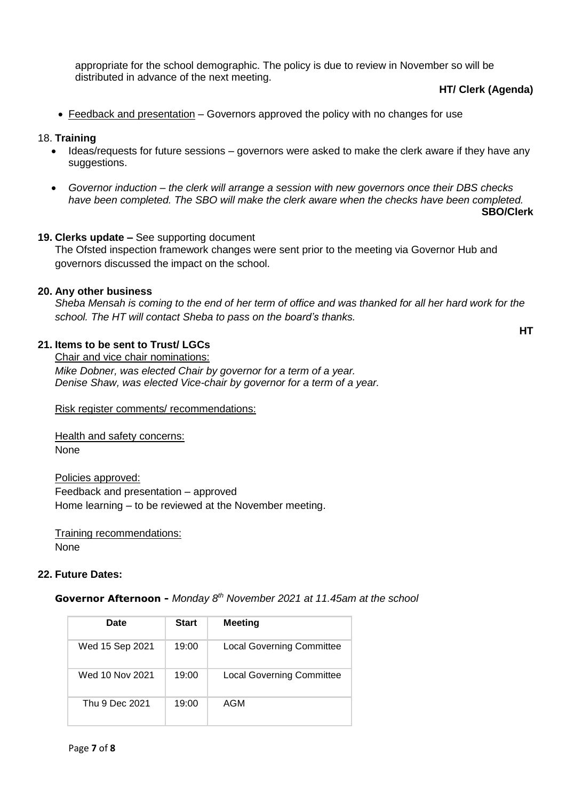appropriate for the school demographic. The policy is due to review in November so will be distributed in advance of the next meeting.

### **HT/ Clerk (Agenda)**

**HT**

Feedback and presentation – Governors approved the policy with no changes for use

### 18. **Training**

- Ideas/requests for future sessions governors were asked to make the clerk aware if they have any suggestions.
- *Governor induction – the clerk will arrange a session with new governors once their DBS checks have been completed. The SBO will make the clerk aware when the checks have been completed.* **SBO/Clerk**

# **19. Clerks update –** See supporting document

The Ofsted inspection framework changes were sent prior to the meeting via Governor Hub and governors discussed the impact on the school.

### **20. Any other business**

*Sheba Mensah is coming to the end of her term of office and was thanked for all her hard work for the school. The HT will contact Sheba to pass on the board's thanks.* 

### **21. Items to be sent to Trust/ LGCs**

Chair and vice chair nominations: *Mike Dobner, was elected Chair by governor for a term of a year. Denise Shaw, was elected Vice-chair by governor for a term of a year.* 

Risk register comments/ recommendations:

Health and safety concerns: None

Policies approved: Feedback and presentation – approved Home learning – to be reviewed at the November meeting.

Training recommendations: None

### **22. Future Dates:**

#### **Governor Afternoon -** *Monday 8th November 2021 at 11.45am at the school*

| Date            | <b>Start</b> | <b>Meeting</b>                   |
|-----------------|--------------|----------------------------------|
| Wed 15 Sep 2021 | 19:00        | <b>Local Governing Committee</b> |
| Wed 10 Nov 2021 | 19:00        | Local Governing Committee        |
| Thu 9 Dec 2021  | 19:00        | AGM                              |